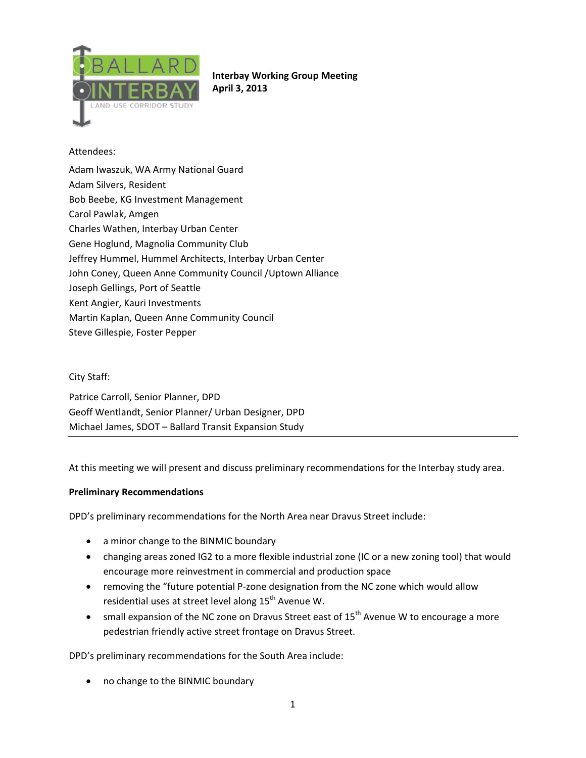

# **Interbay Working Group Meeting April 3, 2013**

## Attendees:

Adam Iwaszuk, WA Army National Guard Adam Silvers, Resident Bob Beebe, KG Investment Management Carol Pawlak, Amgen Charles Wathen, Interbay Urban Center Gene Hoglund, Magnolia Community Club Jeffrey Hummel, Hummel Architects, Interbay Urban Center John Coney, Queen Anne Community Council /Uptown Alliance Joseph Gellings, Port of Seattle Kent Angier, Kauri Investments Martin Kaplan, Queen Anne Community Council Steve Gillespie, Foster Pepper

### City Staff:

Patrice Carroll, Senior Planner, DPD Geoff Wentlandt, Senior Planner/ Urban Designer, DPD Michael James, SDOT – Ballard Transit Expansion Study

At this meeting we will present and discuss preliminary recommendations for the Interbay study area.

#### **Preliminary Recommendations**

DPD's preliminary recommendations for the North Area near Dravus Street include:

- a minor change to the BINMIC boundary
- changing areas zoned IG2 to a more flexible industrial zone (IC or a new zoning tool) that would encourage more reinvestment in commercial and production space
- removing the "future potential P‐zone designation from the NC zone which would allow residential uses at street level along 15<sup>th</sup> Avenue W.
- small expansion of the NC zone on Dravus Street east of  $15<sup>th</sup>$  Avenue W to encourage a more pedestrian friendly active street frontage on Dravus Street.

DPD's preliminary recommendations for the South Area include:

• no change to the BINMIC boundary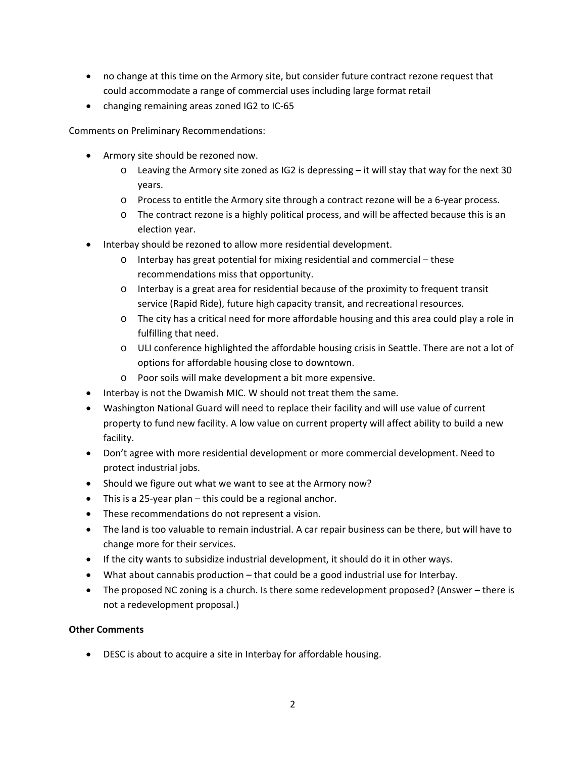- no change at this time on the Armory site, but consider future contract rezone request that could accommodate a range of commercial uses including large format retail
- changing remaining areas zoned IG2 to IC-65

Comments on Preliminary Recommendations:

- Armory site should be rezoned now.
	- o Leaving the Armory site zoned as IG2 is depressing it will stay that way for the next 30 years.
	- o Process to entitle the Armory site through a contract rezone will be a 6‐year process.
	- o The contract rezone is a highly political process, and will be affected because this is an election year.
- Interbay should be rezoned to allow more residential development.
	- $\circ$  Interbay has great potential for mixing residential and commercial these recommendations miss that opportunity.
	- o Interbay is a great area for residential because of the proximity to frequent transit service (Rapid Ride), future high capacity transit, and recreational resources.
	- o The city has a critical need for more affordable housing and this area could play a role in fulfilling that need.
	- o ULI conference highlighted the affordable housing crisis in Seattle. There are not a lot of options for affordable housing close to downtown.
	- o Poor soils will make development a bit more expensive.
- Interbay is not the Dwamish MIC. W should not treat them the same.
- Washington National Guard will need to replace their facility and will use value of current property to fund new facility. A low value on current property will affect ability to build a new facility.
- Don't agree with more residential development or more commercial development. Need to protect industrial jobs.
- Should we figure out what we want to see at the Armory now?
- This is a 25‐year plan this could be a regional anchor.
- These recommendations do not represent a vision.
- The land is too valuable to remain industrial. A car repair business can be there, but will have to change more for their services.
- If the city wants to subsidize industrial development, it should do it in other ways.
- What about cannabis production that could be a good industrial use for Interbay.
- The proposed NC zoning is a church. Is there some redevelopment proposed? (Answer there is not a redevelopment proposal.)

## **Other Comments**

• DESC is about to acquire a site in Interbay for affordable housing.